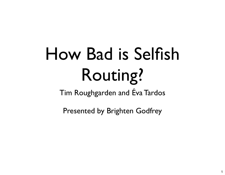# How Bad is Selfish Routing?

Tim Roughgarden and Éva Tardos

Presented by Brighten Godfrey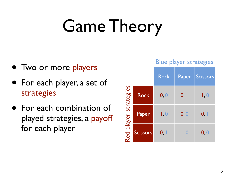# Game Theory

- Two or more players
- For each player, a set of strategies
- For each combination of played strategies, a payoff for each player

|                       |             | $-1$<br>$\sim$ |       |          |
|-----------------------|-------------|----------------|-------|----------|
|                       |             | <b>Rock</b>    | Paper | Scissors |
| Red player strategies | <b>Rock</b> | 0, 0           | 0, 1  | I, 0     |
|                       | Paper       | I, 0           | 0, 0  | 0, 1     |
|                       | Scissors    | 0, 1           | I, 0  | 0, 0     |

Blue player strategies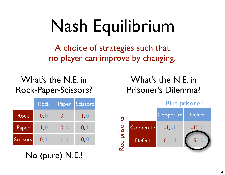# Nash Equilibrium

A choice of strategies such that no player can improve by changing.

#### What's the N.E. in Rock-Paper-Scissors?

| What's the N.E. in  |
|---------------------|
| Prisoner's Dilemma? |

|                 | <b>Rock</b> | Paper | Scissors |
|-----------------|-------------|-------|----------|
| <b>Rock</b>     | 0, 0        | 0, 1  | I, O     |
| Paper           | I, 0        | 0, 0  | 0, 1     |
| <b>Scissors</b> | 0. I        | I, 0  | 0, 0     |

No (pure) N.E.!

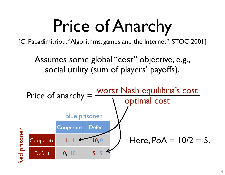# Price of Anarchy

[C. Papadimitriou, "Algorithms, games and the Internet", STOC 2001]

Assumes some global "cost" objective, e.g., social utility (sum of players' payoffs).

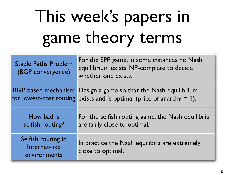# This week's papers in game theory terms

| <b>Stable Paths Problem</b><br>(BGP convergence)    | For the SPP game, in some instances no Nash<br>equilibrium exists. NP-complete to decide<br>whether one exists.        |
|-----------------------------------------------------|------------------------------------------------------------------------------------------------------------------------|
| <b>BGP-based mechanism</b>                          | Design a game so that the Nash equilibrium<br>for lowest-cost routing exists and is optimal (price of anarchy $= 1$ ). |
| How bad is<br>selfish routing?                      | For the selfish routing game, the Nash equilibria<br>are fairly close to optimal.                                      |
| Selfish routing in<br>Internet-like<br>environments | In practice the Nash equilibria are extremely<br>close to optimal.                                                     |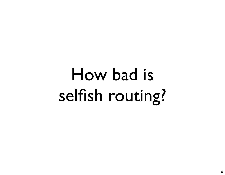# How bad is selfish routing?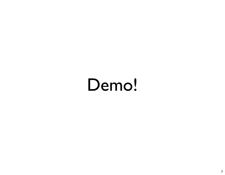#### Demo!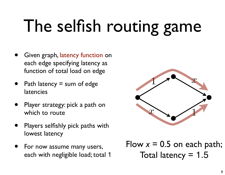# The selfish routing game

- Given graph, latency function on each edge specifying latency as function of total load on edge
- Path latency  $=$  sum of edge latencies
- Player strategy: pick a path on which to route
- Players selfishly pick paths with lowest latency
- For now assume many users, each with negligible load; total 1



Flow  $x = 0.5$  on each path; Total latency  $= 1.5$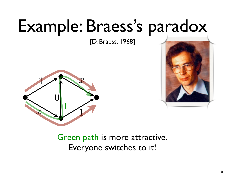#### Example: Braess's paradox

[D. Braess, 1968]





Green path is more attractive. Everyone switches to it!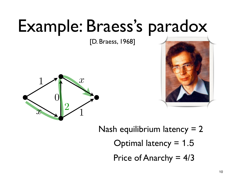#### Example: Braess's paradox

[D. Braess, 1968]





Nash equilibrium latency  $= 2$ Optimal latency = 1.5 Price of Anarchy  $= 4/3$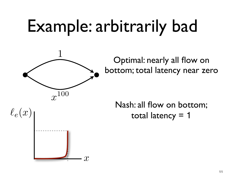# Example: arbitrarily bad



Optimal: nearly all flow on bottom; total latency near zero

Nash: all flow on bottom;  $\ell_e(x)$  |  $\qquad \qquad$  total latency = 1

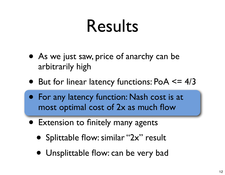#### Results

- As we just saw, price of anarchy can be arbitrarily high
- But for linear latency functions: PoA <= 4/3
- For any latency function: Nash cost is at most optimal cost of 2x as much flow
- Extension to finitely many agents
	- Splittable flow: similar "2x" result
	- Unsplittable flow: can be very bad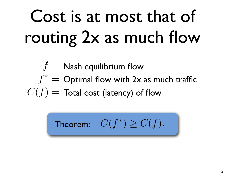# Cost is at most that of routing 2x as much flow

$$
f = \text{Nash equilibrium flow}
$$
\n
$$
f^* = \text{Optimal flow with 2x as much traffic}
$$
\n
$$
C(f) = \text{Total cost (latency) of flow}
$$

**Theorem:** 
$$
C(f^*) \geq C(f)
$$
.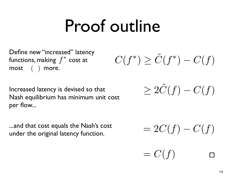#### Proof outline

*C*( $f^*$ )  $\geq \tilde{C}(f^*) - C(f)$ <br>*C*( $f^*$ )  $\geq \tilde{C}(f^*) - C(f)$ <br>*most* ( ) more. functions, making  $\ f^*$  cost at  ${\sf most} \quad (\quad) \;\; {\sf more}.$ 

 $= C(f)$ 

 $\text{Increasing}$  Increased latency is devised so that  $\geq 2\tilde{C}(f) - C(f)$ <br>Nash equilibrium has minimum unit cost per flow...

...and that cost equals the Nash's cost under the original latency function.  $= 2C(f) - C(f)$ <br>under the original latency function.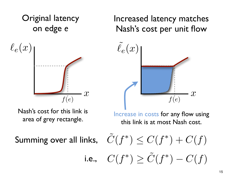

Nash's cost for this link is area of grey rectangle.

Increase in costs for any flow using this link is at most Nash cost.

**Summing over all links** 

nks, 
$$
C(f^*) \leq C(f^*) + C(f)
$$
  
i.e.,  $C(f^*) \geq \tilde{C}(f^*) - C(f)$ 

Increased latency matches Nash's cost per unit flow

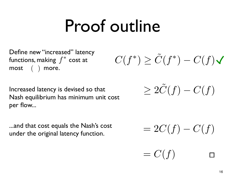#### Proof outline

Define new "increased" latency functions, making  $\ f^*$  cost at  ${\sf most} \quad (\quad) \;\; {\sf more}.$ 

Increased latency is devised so that Nash equilibrium has minimum unit cost per flow...

...and that cost equals the Nash's cost under the original latency function.  $= 2C(f) - C(f)$ <br>under the original latency function.

 $C(f^*) \geq \tilde{C}(f^*) - C(f)$ 

 $> 2\tilde{C}(f) - C(f)$ 

 $= C(f)$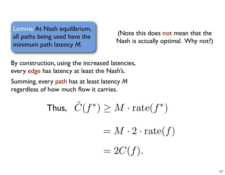Lemma: At Nash equilibrium, all paths being used have the minimum path latency *M.*

(Note this does not mean that the Nash is actually optimal. Why not?)

By construction, using the increased latencies, every edge has latency at least the Nash's.

Summing, every path has at least latency *M* regardless of how much flow it carries.

Thus, 
$$
\tilde{C}(f^*) \geq M \cdot \text{rate}(f^*)
$$

 $= M \cdot 2 \cdot \text{rate}(f)$ 

$$
=2C(f).
$$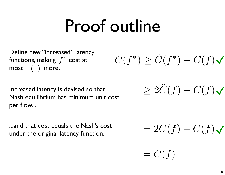#### Proof outline

Define new "increased" latency functions, making  $\ f^*$  cost at  ${\sf most} \quad (\quad) \;\; {\sf more}.$ 

Increased latency is devised so that Nash equilibrium has minimum unit cost per flow...

...and that cost equals the Nash's cost ...and that cost equals the Nash's cost  $= 2C(f) - C(f)$ <br>under the original latency function.

 $C(f^*) \geq \tilde{C}(f^*) - C(f)$ 

 $= C(f)$ 

 $\geq 2\tilde{C}(f) - C(f)$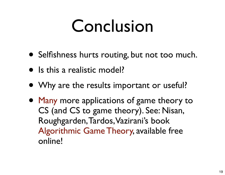#### Conclusion

- Selfishness hurts routing, but not too much.
- Is this a realistic model?
- Why are the results important or useful?
- Many more applications of game theory to CS (and CS to game theory). See: Nisan, Roughgarden, Tardos, Vazirani's book Algorithmic Game Theory, available free online!